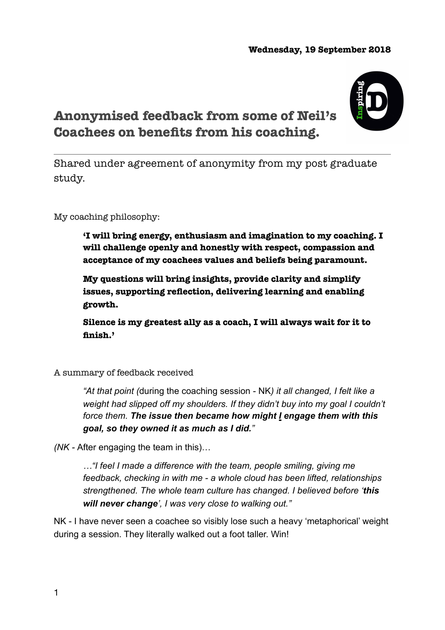## **Wednesday, 19 September 2018**



## **Anonymised feedback from some of Neil's Coachees on benefits from his coaching.**

Shared under agreement of anonymity from my post graduate study.

My coaching philosophy:

**'I will bring energy, enthusiasm and imagination to my coaching. I will challenge openly and honestly with respect, compassion and acceptance of my coachees values and beliefs being paramount.** 

**My questions will bring insights, provide clarity and simplify issues, supporting reflection, delivering learning and enabling growth.** 

**Silence is my greatest ally as a coach, I will always wait for it to finish.'** 

A summary of feedback received

*"At that point (*during the coaching session - NK*) it all changed, I felt like a weight had slipped off my shoulders. If they didn't buy into my goal I couldn't force them. The issue then became how might I engage them with this goal, so they owned it as much as I did."* 

*(NK -* After engaging the team in this)…

*…"I feel I made a difference with the team, people smiling, giving me feedback, checking in with me - a whole cloud has been lifted, relationships strengthened. The whole team culture has changed. I believed before 'this will never change', I was very close to walking out."* 

NK - I have never seen a coachee so visibly lose such a heavy 'metaphorical' weight during a session. They literally walked out a foot taller. Win!